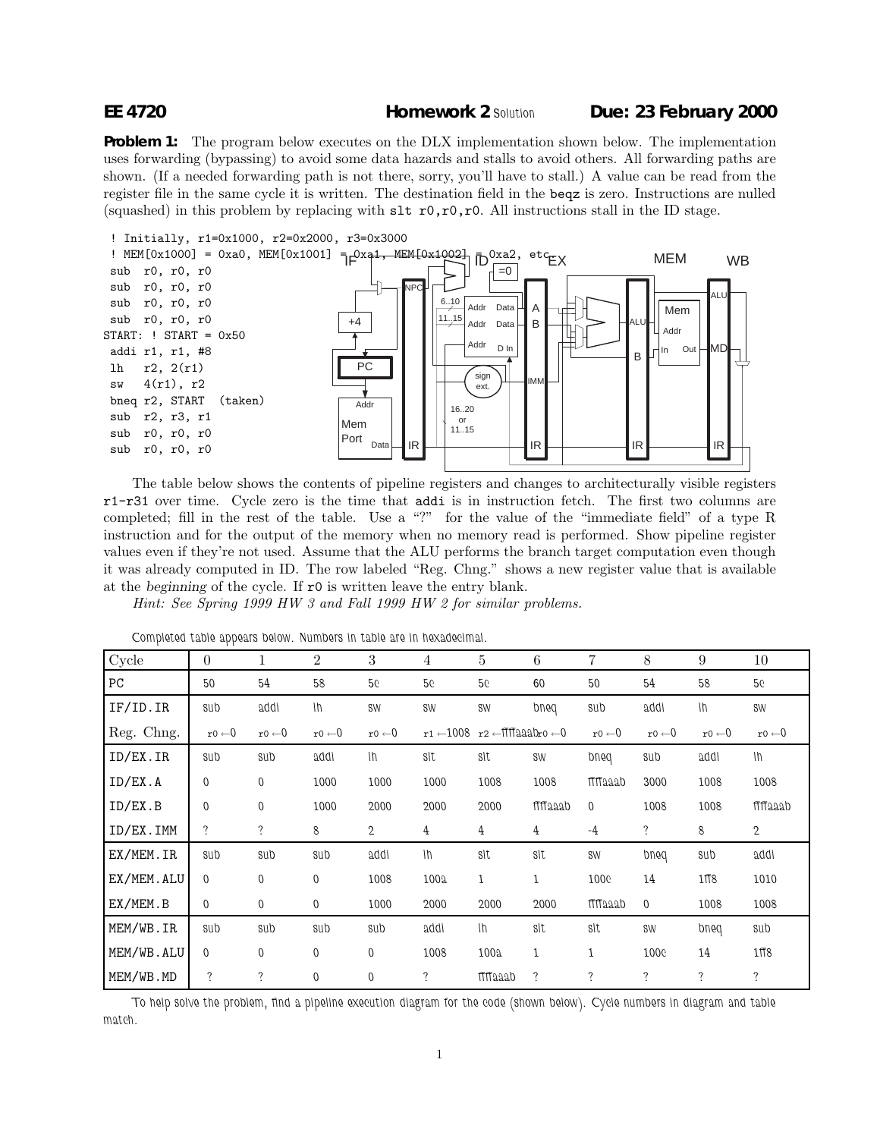**Problem 1:** The program below executes on the DLX implementation shown below. The implementation uses forwarding (bypassing) to avoid some data hazards and stalls to avoid others. All forwarding paths are shown. (If a needed forwarding path is not there, sorry, you'll have to stall.) A value can be read from the register file in the same cycle it is written. The destination field in the beqz is zero. Instructions are nulled (squashed) in this problem by replacing with  $str0,r0,r0$ . All instructions stall in the ID stage.



The table below shows the contents of pipeline registers and changes to architecturally visible registers r1-r31 over time. Cycle zero is the time that addi is in instruction fetch. The first two columns are completed; fill in the rest of the table. Use a "?" for the value of the "immediate field" of a type R instruction and for the output of the memory when no memory read is performed. Show pipeline register values even if they're not used. Assume that the ALU performs the branch target computation even though it was already computed in ID. The row labeled "Reg. Chng." shows a new register value that is available at the *beginning* of the cycle. If r0 is written leave the entry blank.

Hint: See Spring 1999 HW 3 and Fall 1999 HW 2 for similar problems.

| Cycle      | 0                 |                   | 2                 | 3                 | 4     | 5                                                                    | 6               |                   | 8                 | 9                 | 10                |
|------------|-------------------|-------------------|-------------------|-------------------|-------|----------------------------------------------------------------------|-----------------|-------------------|-------------------|-------------------|-------------------|
| PC         | 50                | 54                | 58                | 56                | 56    | 56                                                                   | 60              | 50                | 54                | 58                | 5 <sub>c</sub>    |
| IF/ID. IR  | sub               | addi              | Ih                | SW                | SW    | SW                                                                   | pued            | sub               | addi              | $\ln$             | SW                |
| Reg. Chng. | $r0 \leftarrow 0$ | $r0 \leftarrow 0$ | $r0 \leftarrow 0$ | $r0 \leftarrow 0$ |       | $r1 \leftarrow 1008$ $r2 \leftarrow \text{HTI440}$ ro $\leftarrow 0$ |                 | $r0 \leftarrow 0$ | $r0 \leftarrow 0$ | $r0 \leftarrow 0$ | $r0 \leftarrow 0$ |
| ID/EX.IR   | sub               | sub               | addi              | Ih                | slt   | slt                                                                  | SW              | pued              | sub               | addi              | $\ln$             |
| ID/EX.A    | 0                 | $\mathbf 0$       | 1000              | 1000              | 1000  | 1008                                                                 | 1008            | <b>TTT</b> aaab   | 3000              | 1008              | 1008              |
| ID/EX.B    | 0                 | $\boldsymbol{0}$  | 1000              | 2000              | 2000  | 2000                                                                 | <b>TTM</b> aaab | $\mathbf 0$       | 1008              | 1008              | maaab             |
| ID/EX.IMM  | $\ddot{?}$        | ?                 | 8                 | $\mathbf 2$       | 4     | 4                                                                    | $\overline{4}$  | $-4$              | ?                 | 8                 | $\mathbf{2}$      |
| EX/MEM.IR  | sub               | sub               | sub               | addi              | $\ln$ | slt                                                                  | slt             | SW                | pued              | sub               | addi              |
| EX/MEM.ALU | $\Omega$          | $\mathbf 0$       | $\mathbf 0$       | 1008              | 100a  | 1                                                                    | 1               | 1000              | 14                | 1ff8              | 1010              |
| EX/MEM.B   | $\overline{0}$    | $\overline{0}$    | 0                 | 1000              | 2000  | 2000                                                                 | 2000            | <b>TTM</b> aaab   | $\mathbf 0$       | 1008              | 1008              |
| MEM/WB.IR  | sub               | sub               | sub               | sub               | addi  | Ih                                                                   | sit             | slt               | SW                | pued              | sub               |
| MEM/WB.ALU | $\overline{0}$    | 0                 | $\mathbf 0$       | $\mathbf 0$       | 1008  | 100a                                                                 | 1               | 1                 | 1000              | 14                | 1ff8              |
| MEM/WB.MD  | $\ddot{?}$        | ?                 | $\mathbf 0$       | $\mathbf 0$       | ?     | <b>TTT</b> aaab                                                      | $\ddot{?}$      | $\ddot{?}$        | $\ddot{?}$        | ?                 | $\ddot{?}$        |

*Completed table appears below. Numbers in table are in hexadecimal.*

*To help solve the problem, find a pipeline execution diagram for the code (shown below). Cycle numbers in diagram and table match.*